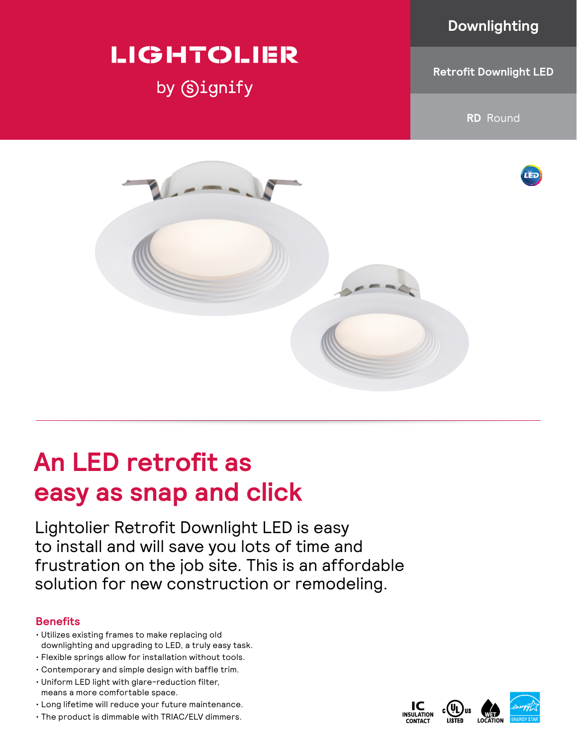### **Downlighting**

# **LIGHTOLIER**

by Signify

**Retrofit Downlight LED**

**RD** Round



# **An LED retrofit as easy as snap and click**

Lightolier Retrofit Downlight LED is easy to install and will save you lots of time and frustration on the job site. This is an affordable solution for new construction or remodeling.

### **Benefits**

- Utilizes existing frames to make replacing old downlighting and upgrading to LED, a truly easy task.
- Flexible springs allow for installation without tools.
- Contemporary and simple design with baffle trim.
- Uniform LED light with glare-reduction filter, means a more comfortable space.
- Long lifetime will reduce your future maintenance.
- The product is dimmable with TRIAC/ELV dimmers.